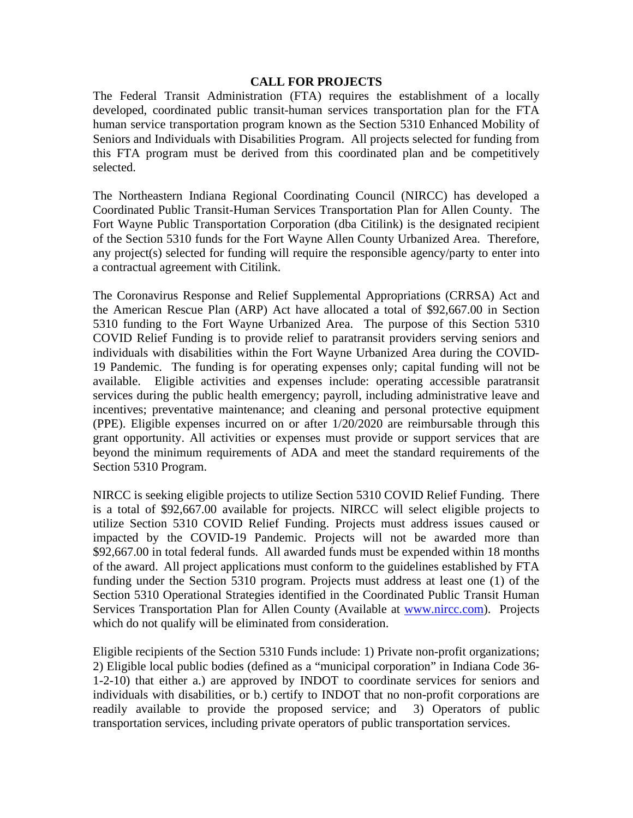## **CALL FOR PROJECTS**

The Federal Transit Administration (FTA) requires the establishment of a locally developed, coordinated public transit-human services transportation plan for the FTA human service transportation program known as the Section 5310 Enhanced Mobility of Seniors and Individuals with Disabilities Program. All projects selected for funding from this FTA program must be derived from this coordinated plan and be competitively selected.

The Northeastern Indiana Regional Coordinating Council (NIRCC) has developed a Coordinated Public Transit-Human Services Transportation Plan for Allen County. The Fort Wayne Public Transportation Corporation (dba Citilink) is the designated recipient of the Section 5310 funds for the Fort Wayne Allen County Urbanized Area. Therefore, any project(s) selected for funding will require the responsible agency/party to enter into a contractual agreement with Citilink.

The Coronavirus Response and Relief Supplemental Appropriations (CRRSA) Act and the American Rescue Plan (ARP) Act have allocated a total of \$92,667.00 in Section 5310 funding to the Fort Wayne Urbanized Area. The purpose of this Section 5310 COVID Relief Funding is to provide relief to paratransit providers serving seniors and individuals with disabilities within the Fort Wayne Urbanized Area during the COVID-19 Pandemic. The funding is for operating expenses only; capital funding will not be available. Eligible activities and expenses include: operating accessible paratransit services during the public health emergency; payroll, including administrative leave and incentives; preventative maintenance; and cleaning and personal protective equipment (PPE). Eligible expenses incurred on or after 1/20/2020 are reimbursable through this grant opportunity. All activities or expenses must provide or support services that are beyond the minimum requirements of ADA and meet the standard requirements of the Section 5310 Program.

NIRCC is seeking eligible projects to utilize Section 5310 COVID Relief Funding. There is a total of \$92,667.00 available for projects. NIRCC will select eligible projects to utilize Section 5310 COVID Relief Funding. Projects must address issues caused or impacted by the COVID-19 Pandemic. Projects will not be awarded more than \$92,667.00 in total federal funds. All awarded funds must be expended within 18 months of the award. All project applications must conform to the guidelines established by FTA funding under the Section 5310 program. Projects must address at least one (1) of the Section 5310 Operational Strategies identified in the Coordinated Public Transit Human Services Transportation Plan for Allen County (Available at [www.nircc.com\)](http://www.nircc.com/). Projects which do not qualify will be eliminated from consideration.

Eligible recipients of the Section 5310 Funds include: 1) Private non-profit organizations; 2) Eligible local public bodies (defined as a "municipal corporation" in Indiana Code 36- 1-2-10) that either a.) are approved by INDOT to coordinate services for seniors and individuals with disabilities, or b.) certify to INDOT that no non-profit corporations are readily available to provide the proposed service; and 3) Operators of public transportation services, including private operators of public transportation services.